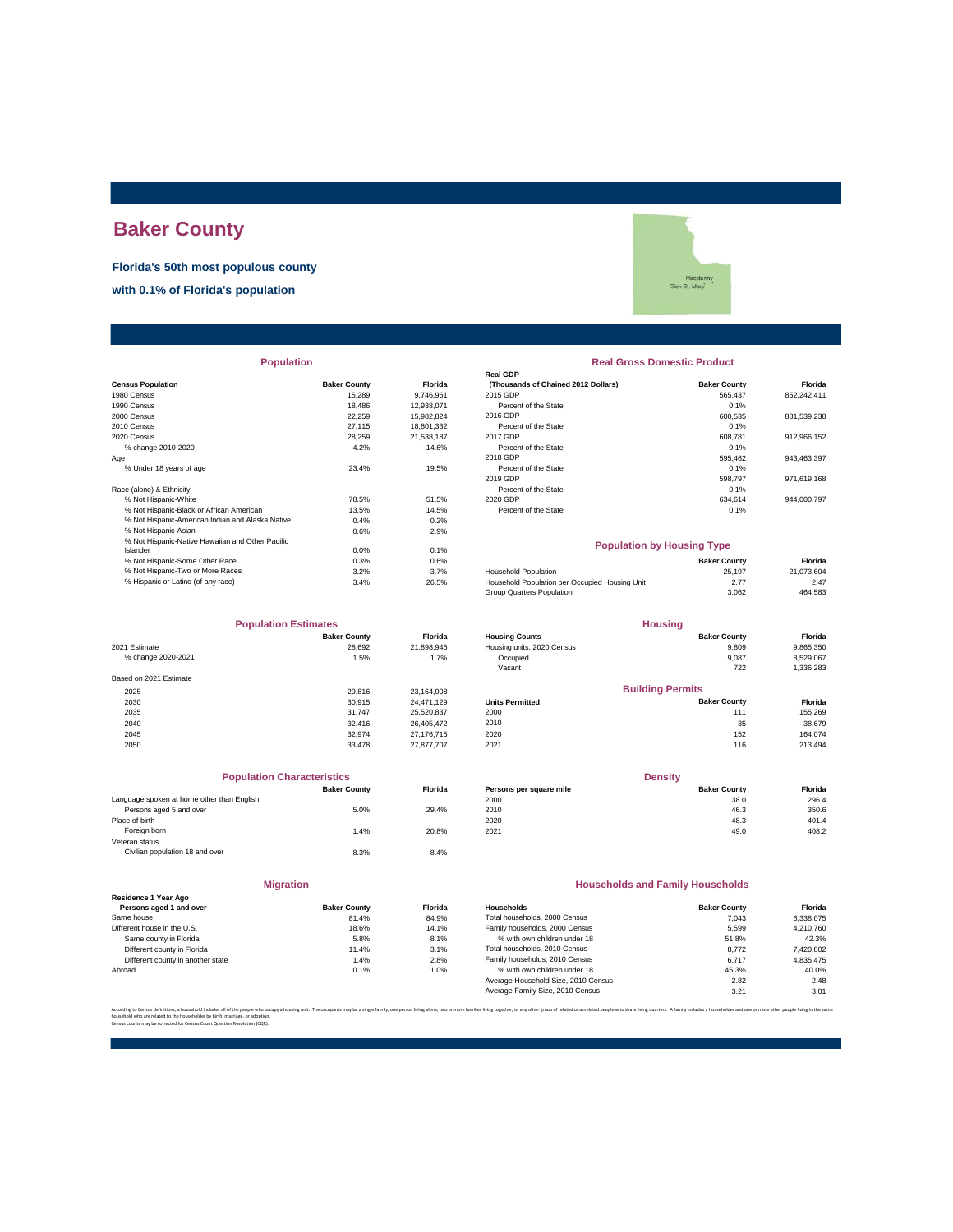# **Baker County**

**Florida's 50th most populous county**

**with 0.1% of Florida's population**

|                                                  |                     |            | <b>Real GDP</b>                                |                     |             |
|--------------------------------------------------|---------------------|------------|------------------------------------------------|---------------------|-------------|
| <b>Census Population</b>                         | <b>Baker County</b> | Florida    | (Thousands of Chained 2012 Dollars)            | <b>Baker County</b> | Florida     |
| 1980 Census                                      | 15,289              | 9,746,961  | 2015 GDP                                       | 565,437             | 852,242,411 |
| 1990 Census                                      | 18,486              | 12,938,071 | Percent of the State                           | 0.1%                |             |
| 2000 Census                                      | 22,259              | 15,982,824 | 2016 GDP                                       | 600,535             | 881,539,238 |
| 2010 Census                                      | 27.115              | 18,801,332 | Percent of the State                           | 0.1%                |             |
| 2020 Census                                      | 28,259              | 21,538,187 | 2017 GDP                                       | 608,781             | 912,966,152 |
| % change 2010-2020                               | 4.2%                | 14.6%      | Percent of the State                           | 0.1%                |             |
| Age                                              |                     |            | 2018 GDP                                       | 595.462             | 943.463.397 |
| % Under 18 years of age                          | 23.4%               | 19.5%      | Percent of the State                           | 0.1%                |             |
|                                                  |                     |            | 2019 GDP                                       | 598,797             | 971,619,168 |
| Race (alone) & Ethnicity                         |                     |            | Percent of the State                           | 0.1%                |             |
| % Not Hispanic-White                             | 78.5%               | 51.5%      | 2020 GDP                                       | 634,614             | 944,000,797 |
| % Not Hispanic-Black or African American         | 13.5%               | 14.5%      | Percent of the State                           | 0.1%                |             |
| % Not Hispanic-American Indian and Alaska Native | 0.4%                | 0.2%       |                                                |                     |             |
| % Not Hispanic-Asian                             | 0.6%                | 2.9%       |                                                |                     |             |
| % Not Hispanic-Native Hawaiian and Other Pacific |                     |            | <b>Population by Housing Type</b>              |                     |             |
| Islander                                         | 0.0%                | 0.1%       |                                                |                     |             |
| % Not Hispanic-Some Other Race                   | 0.3%                | 0.6%       |                                                | <b>Baker County</b> | Florida     |
| % Not Hispanic-Two or More Races                 | 3.2%                | 3.7%       | <b>Household Population</b>                    | 25,197              | 21,073,604  |
| % Hispanic or Latino (of any race)               | 3.4%                | 26.5%      | Household Population per Occupied Housing Unit | 2.77                | 2.47        |

|                        | <b>Population Estimates</b> |            |
|------------------------|-----------------------------|------------|
|                        | <b>Baker County</b>         | Florida    |
| 2021 Estimate          | 28.692                      | 21.898.945 |
| % change 2020-2021     | 1.5%                        | 1.7%       |
| Based on 2021 Estimate |                             |            |
| 2025                   | 29.816                      | 23.164.008 |
| 2030                   | 30.915                      | 24.471.129 |
| 2035                   | 31.747                      | 25.520.837 |
| 2040                   | 32,416                      | 26.405.472 |
| 2045                   | 32.974                      | 27.176.715 |
| 2050                   | 33,478                      | 27.877.707 |

| <b>Population Characteristics</b>          |                     |         | <b>Density</b>          |                                         |         |  |
|--------------------------------------------|---------------------|---------|-------------------------|-----------------------------------------|---------|--|
|                                            | <b>Baker County</b> | Florida | Persons per square mile | <b>Baker County</b>                     | Florida |  |
| Language spoken at home other than English |                     |         | 2000                    | 38.0                                    | 296.4   |  |
| Persons aged 5 and over                    | 5.0%                | 29.4%   | 2010                    | 46.3                                    | 350.6   |  |
| Place of birth                             |                     |         | 2020                    | 48.3                                    | 401.4   |  |
| Foreign born                               | 1.4%                | 20.8%   | 2021                    | 49.0                                    | 408.2   |  |
| Veteran status                             |                     |         |                         |                                         |         |  |
| Civilian population 18 and over            | 8.3%                | 8.4%    |                         |                                         |         |  |
| <b>Migration</b>                           |                     |         |                         | <b>Households and Family Households</b> |         |  |
| Residence 1 Year Ago                       |                     |         |                         |                                         |         |  |
| Persons aged 1 and over                    | <b>Baker County</b> | Florida | Households              | <b>Baker County</b>                     | Florida |  |

| Different house in the U.S.       | 18.6% | 14.1% |
|-----------------------------------|-------|-------|
| Same county in Florida            | 5.8%  | 8.1%  |
| Different county in Florida       | 11.4% | 3.1%  |
| Different county in another state | 1.4%  | 2.8%  |
| Abroad                            | 0.1%  | 1.0%  |
|                                   |       |       |

# Macclen<br>Glen St. Mary

#### **Population Real Gross Domestic Product**

| sus Population                           | <b>Baker County</b> | Florida    | (Thousands of Chained 2012 Dollars) | <b>Baker County</b> | Florida     |
|------------------------------------------|---------------------|------------|-------------------------------------|---------------------|-------------|
| 0 Census                                 | 15,289              | 9.746.961  | 2015 GDP                            | 565.437             | 852.242.411 |
| 0 Census                                 | 18,486              | 12.938.071 | Percent of the State                | 0.1%                |             |
| 0 Census                                 | 22.259              | 15.982.824 | 2016 GDP                            | 600.535             | 881,539,238 |
| 0 Census                                 | 27.115              | 18,801,332 | Percent of the State                | 0.1%                |             |
| 0 Census                                 | 28,259              | 21.538.187 | 2017 GDP                            | 608.781             | 912.966.152 |
| % change 2010-2020                       | 4.2%                | 14.6%      | Percent of the State                | 0.1%                |             |
|                                          |                     |            | 2018 GDP                            | 595.462             | 943.463.397 |
| % Under 18 years of age                  | 23.4%               | 19.5%      | Percent of the State                | 0.1%                |             |
|                                          |                     |            | 2019 GDP                            | 598.797             | 971.619.168 |
| e (alone) & Ethnicity                    |                     |            | Percent of the State                | 0.1%                |             |
| % Not Hispanic-White                     | 78.5%               | 51.5%      | 2020 GDP                            | 634.614             | 944.000.797 |
| % Not Hispanic-Black or African American | 13.5%               | 14.5%      | Percent of the State                | 0.1%                |             |
|                                          | $   -$              | $  -$      |                                     |                     |             |

#### **Population by Housing Type**

|                                                | <b>Baker County</b> | Florida    |
|------------------------------------------------|---------------------|------------|
| Household Population                           | 25.197              | 21.073.604 |
| Household Population per Occupied Housing Unit | 2.77                | 2.47       |
| Group Quarters Population                      | 3.062               | 464.583    |
|                                                |                     |            |

| <b>Population Estimates</b> |                     | <b>Housing</b> |                            |                         |           |
|-----------------------------|---------------------|----------------|----------------------------|-------------------------|-----------|
|                             | <b>Baker County</b> | <b>Florida</b> | <b>Housing Counts</b>      | <b>Baker County</b>     | Florida   |
| 2021 Estimate               | 28.692              | 21,898,945     | Housing units, 2020 Census | 9,809                   | 9,865,350 |
| % change 2020-2021          | 1.5%                | 1.7%           | Occupied                   | 9,087                   | 8,529,067 |
|                             |                     |                | Vacant                     | 722                     | 1,336,283 |
| Based on 2021 Estimate      |                     |                |                            |                         |           |
| 2025                        | 29,816              | 23.164.008     |                            | <b>Building Permits</b> |           |
| 2030                        | 30.915              | 24.471.129     | <b>Units Permitted</b>     | <b>Baker County</b>     | Florida   |
| 2035                        | 31.747              | 25,520,837     | 2000                       | 111                     | 155,269   |
| 2040                        | 32,416              | 26.405.472     | 2010                       | 35                      | 38,679    |
| 2045                        | 32.974              | 27.176.715     | 2020                       | 152                     | 164,074   |
| 2050                        | 33,478              | 27,877,707     | 2021                       | 116                     | 213,494   |
|                             |                     |                |                            |                         |           |

| <b>Population Characteristics</b>       |                     |                | <b>Density</b>          |                     |         |
|-----------------------------------------|---------------------|----------------|-------------------------|---------------------|---------|
|                                         | <b>Baker County</b> | <b>Florida</b> | Persons per square mile | <b>Baker County</b> | Florida |
| quage spoken at home other than English |                     |                | 2000                    | 38.0                | 296.4   |
| Persons aged 5 and over                 | 5.0%                | 29.4%          | 2010                    | 46.3                | 350.6   |
| e of birth                              |                     |                | 2020                    | 48.3                | 401.4   |
| Foreign born                            | 1.4%                | 20.8%          | 2021                    | 49.0                | 408.2   |
|                                         |                     |                |                         |                     |         |

#### **Households and Family Households**

| Residence 1 Year Ago              |                     |         |                                     |                     |           |
|-----------------------------------|---------------------|---------|-------------------------------------|---------------------|-----------|
| Persons aged 1 and over           | <b>Baker County</b> | Florida | <b>Households</b>                   | <b>Baker County</b> | Florida   |
| Same house                        | 81.4%               | 84.9%   | Total households, 2000 Census       | 7.043               | 6.338.075 |
| Different house in the U.S.       | 18.6%               | 14.1%   | Family households, 2000 Census      | 5.599               | 4,210,760 |
| Same county in Florida            | 5.8%                | 8.1%    | % with own children under 18        | 51.8%               | 42.3%     |
| Different county in Florida       | 11.4%               | 3.1%    | Total households, 2010 Census       | 8.772               | 7,420,802 |
| Different county in another state | 1.4%                | 2.8%    | Family households, 2010 Census      | 6.717               | 4.835.475 |
| Abroad                            | 0.1%                | 1.0%    | % with own children under 18        | 45.3%               | 40.0%     |
|                                   |                     |         | Average Household Size, 2010 Census | 2.82                | 2.48      |
|                                   |                     |         | Average Family Size, 2010 Census    | 3.21                | 3.01      |
|                                   |                     |         |                                     |                     |           |

According to Census definitions, a household includes all of the people who cocupy a housing with. The occupants may be a single family, one pescon living bone, two or more families living technology of related prosper fun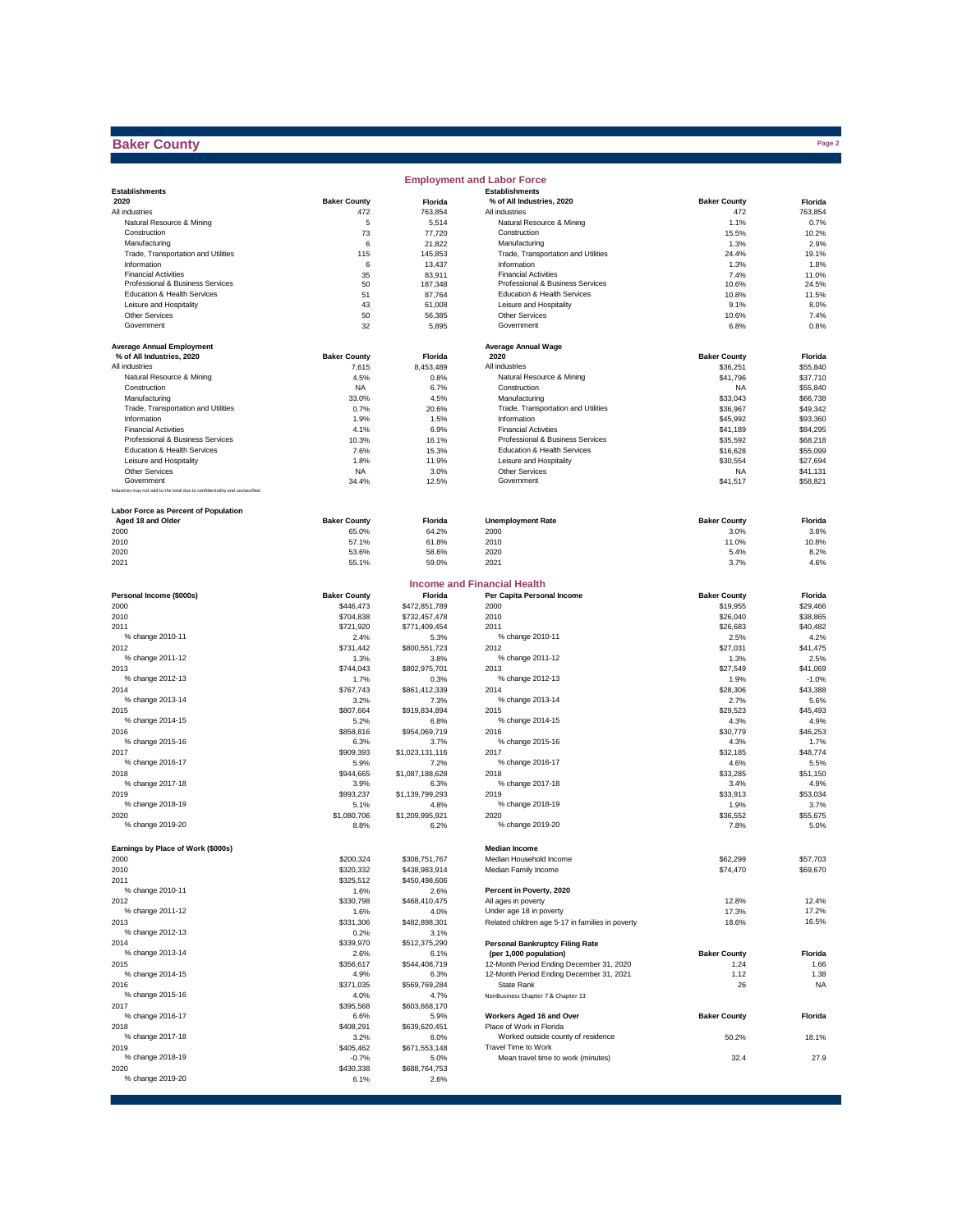### **Baker County**

|                                                                             |                     |                       | <b>Employment and Labor Force</b>                    |                      |                      |
|-----------------------------------------------------------------------------|---------------------|-----------------------|------------------------------------------------------|----------------------|----------------------|
| <b>Establishments</b>                                                       |                     |                       | <b>Establishments</b>                                |                      |                      |
| 2020                                                                        | <b>Baker County</b> | Florida               | % of All Industries, 2020                            | <b>Baker County</b>  | Florida              |
| All industries                                                              | 472                 | 763,854               | All industries                                       | 472                  | 763,854              |
| Natural Resource & Mining<br>Construction                                   | 5<br>73             | 5,514<br>77,720       | Natural Resource & Mining<br>Construction            | 1.1%<br>15.5%        | 0.7%<br>10.2%        |
| Manufacturing                                                               | 6                   | 21,822                | Manufacturing                                        | 1.3%                 | 2.9%                 |
| Trade, Transportation and Utilities                                         | 115                 | 145.853               | Trade, Transportation and Utilities                  | 24.4%                | 19.1%                |
| Information                                                                 | 6                   | 13,437                | Information                                          | 1.3%                 | 1.8%                 |
| <b>Financial Activities</b>                                                 | 35                  | 83,911                | <b>Financial Activities</b>                          | 7.4%                 | 11.0%                |
| Professional & Business Services                                            | 50                  | 187,348               | Professional & Business Services                     | 10.6%                | 24.5%                |
| Education & Health Services                                                 | 51                  | 87,764                | Education & Health Services                          | 10.8%                | 11.5%                |
| Leisure and Hospitality<br>Other Services                                   | 43<br>50            | 61,008<br>56,385      | Leisure and Hospitality<br>Other Services            | 9.1%<br>10.6%        | 8.0%<br>7.4%         |
| Government                                                                  | 32                  | 5,895                 | Government                                           | 6.8%                 | 0.8%                 |
|                                                                             |                     |                       |                                                      |                      |                      |
| <b>Average Annual Employment</b>                                            |                     |                       | <b>Average Annual Wage</b>                           |                      |                      |
| % of All Industries, 2020                                                   | <b>Baker County</b> | Florida               | 2020                                                 | <b>Baker County</b>  | Florida              |
| All industries                                                              | 7,615               | 8,453,489             | All industries                                       | \$36,251             | \$55,840             |
| Natural Resource & Mining                                                   | 4.5%                | 0.8%                  | Natural Resource & Mining                            | \$41.796             | \$37,710             |
| Construction                                                                | <b>NA</b>           | 6.7%                  | Construction                                         | NA                   | \$55,840             |
| Manufacturing<br>Trade, Transportation and Utilities                        | 33.0%<br>0.7%       | 4.5%<br>20.6%         | Manufacturing<br>Trade, Transportation and Utilities | \$33,043<br>\$36,967 | \$66,738<br>\$49,342 |
| Information                                                                 | 1.9%                | 1.5%                  | Information                                          | \$45,992             | \$93,360             |
| <b>Financial Activities</b>                                                 | 4.1%                | 6.9%                  | <b>Financial Activities</b>                          | \$41,189             | \$84,295             |
| Professional & Business Services                                            | 10.3%               | 16.1%                 | Professional & Business Services                     | \$35,592             | \$68,218             |
| Education & Health Services                                                 | 7.6%                | 15.3%                 | Education & Health Services                          | \$16,628             | \$55,099             |
| Leisure and Hospitality                                                     | 1.8%                | 11.9%                 | Leisure and Hospitality                              | \$30,554             | \$27,694             |
| Other Services                                                              | <b>NA</b>           | 3.0%                  | Other Services                                       | <b>NA</b>            | \$41,131             |
| Government                                                                  | 34.4%               | 12.5%                 | Government                                           | \$41,517             | \$58,821             |
| Industries may not add to the total due to confidentiality and unclassified |                     |                       |                                                      |                      |                      |
| Labor Force as Percent of Population                                        |                     |                       |                                                      |                      |                      |
| Aged 18 and Older                                                           | <b>Baker County</b> | Florida               | <b>Unemployment Rate</b>                             | <b>Baker County</b>  | Florida              |
| 2000                                                                        | 65.0%               | 64.2%                 | 2000                                                 | 3.0%                 | 3.8%                 |
| 2010                                                                        | 57.1%               | 61.8%                 | 2010                                                 | 11.0%                | 10.8%                |
| 2020                                                                        | 53.6%               | 58.6%                 | 2020                                                 | 5.4%                 | 8.2%                 |
| 2021                                                                        | 55.1%               | 59.0%                 | 2021                                                 | 3.7%                 | 4.6%                 |
|                                                                             |                     |                       | <b>Income and Financial Health</b>                   |                      |                      |
| Personal Income (\$000s)                                                    | <b>Baker County</b> | Florida               | Per Capita Personal Income                           | <b>Baker County</b>  | Florida              |
| 2000                                                                        | \$446.473           | \$472,851,789         | 2000                                                 | \$19,955             | \$29,466             |
| 2010                                                                        | \$704,838           | \$732,457,478         | 2010                                                 | \$26,040             | \$38,865             |
| 2011                                                                        | \$721,920           | \$771,409,454         | 2011                                                 | \$26,683             | \$40,482             |
| % change 2010-11                                                            | 2.4%                | 5.3%                  | % change 2010-11                                     | 2.5%                 | 4.2%                 |
| 2012                                                                        | \$731,442           | \$800,551,723         | 2012                                                 | \$27,031             | \$41,475             |
| % change 2011-12                                                            | 1.3%                | 3.8%                  | % change 2011-12                                     | 1.3%                 | 2.5%                 |
| 2013                                                                        | \$744,043           | \$802,975,701         | 2013                                                 | \$27,549             | \$41,069             |
| % change 2012-13                                                            | 1.7%                | 0.3%                  | % change 2012-13                                     | 1.9%                 | $-1.0%$              |
| 2014                                                                        | \$767,743           | \$861,412,339         | 2014                                                 | \$28,306             | \$43,388             |
| % change 2013-14                                                            | 3.2%                | 7.3%                  | % change 2013-14                                     | 2.7%                 | 5.6%                 |
| 2015<br>% change 2014-15                                                    | \$807,664<br>5.2%   | \$919,834,894         | 2015<br>% change 2014-15                             | \$29,523             | \$45,493             |
| 2016                                                                        | \$858,816           | 6.8%<br>\$954,069,719 | 2016                                                 | 4.3%<br>\$30,779     | 4.9%<br>\$46,253     |
| % change 2015-16                                                            | 6.3%                | 3.7%                  | % change 2015-16                                     | 4.3%                 | 1.7%                 |
| 2017                                                                        | \$909,393           | \$1,023,131,116       | 2017                                                 | \$32,185             | \$48,774             |
| % change 2016-17                                                            | 5.9%                | 7.2%                  | % change 2016-17                                     | 4.6%                 | 5.5%                 |
| 2018                                                                        | \$944,665           | \$1,087,188,628       | 2018                                                 | \$33,285             | \$51,150             |
| % change 2017-18                                                            | 3.9%                | 6.3%                  | % change 2017-18                                     | 3.4%                 | 4.9%                 |
| 2019                                                                        | \$993,237           | \$1,139,799,293       | 2019                                                 | \$33,913             | \$53,034             |
| % change 2018-19                                                            | 5.1%                | 4.8%                  | % change 2018-19                                     | 1.9%                 | 3.7%                 |
| 2020                                                                        | \$1,080,706         | \$1,209,995,921       | 2020                                                 | \$36,552             | \$55,675             |
| % change 2019-20                                                            | 8.8%                | 6.2%                  | % change 2019-20                                     | 7.8%                 | 5.0%                 |
| Earnings by Place of Work (\$000s)                                          |                     |                       | <b>Median Income</b>                                 |                      |                      |
| 2000                                                                        | \$200,324           | \$308,751,767         | Median Household Income                              | \$62,299             | \$57,703             |
| 2010                                                                        | \$320,332           | \$438,983,914         | Median Family Income                                 | \$74,470             | \$69,670             |
| 2011                                                                        | \$325,512           | \$450,498,606         |                                                      |                      |                      |
| % change 2010-11                                                            | 1.6%                | 2.6%                  | Percent in Poverty, 2020                             |                      |                      |
| 2012                                                                        | \$330,798           | \$468,410,475         | All ages in poverty                                  | 12.8%                | 12.4%                |
| % change 2011-12                                                            | 1.6%                | 4.0%                  | Under age 18 in poverty                              | 17.3%                | 17.2%                |
| 2013                                                                        | \$331,306           | \$482,898,301         | Related children age 5-17 in families in poverty     | 18.6%                | 16.5%                |
| % change 2012-13                                                            | 0.2%                | 3.1%                  |                                                      |                      |                      |
| 2014                                                                        | \$339,970           | \$512,375,290         | <b>Personal Bankruptcy Filing Rate</b>               |                      |                      |
| % change 2013-14                                                            | 2.6%                | 6.1%                  | (per 1,000 population)                               | <b>Baker County</b>  | Florida              |
| 2015                                                                        | \$356,617           | \$544,408,719         | 12-Month Period Ending December 31, 2020             | 1.24                 | 1.66                 |
| % change 2014-15                                                            | 4.9%                | 6.3%                  | 12-Month Period Ending December 31, 2021             | 1.12                 | 1.38                 |
| 2016<br>% change 2015-16                                                    | \$371,035<br>4.0%   | \$569,769,284<br>4.7% | State Rank<br>NonBusiness Chapter 7 & Chapter 13     | 26                   | <b>NA</b>            |
| 2017                                                                        | \$395,568           | \$603,668,170         |                                                      |                      |                      |
| % change 2016-17                                                            | 6.6%                | 5.9%                  | Workers Aged 16 and Over                             | <b>Baker County</b>  | Florida              |
| 2018                                                                        | \$408,291           | \$639,620,451         | Place of Work in Florida                             |                      |                      |
| % change 2017-18                                                            | 3.2%                | 6.0%                  | Worked outside county of residence                   | 50.2%                | 18.1%                |
| 2019                                                                        | \$405,462           | \$671,553,148         | Travel Time to Work                                  |                      |                      |
| % change 2018-19                                                            | $-0.7%$             | 5.0%                  | Mean travel time to work (minutes)                   | 32.4                 | 27.9                 |
| 2020                                                                        | \$430,338           | \$688,764,753         |                                                      |                      |                      |
| % change 2019-20                                                            | 6.1%                | 2.6%                  |                                                      |                      |                      |

**Page 2**